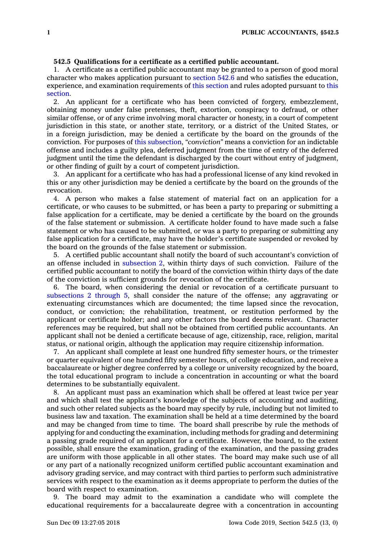## **542.5 Qualifications for <sup>a</sup> certificate as <sup>a</sup> certified public accountant.**

1. A certificate as <sup>a</sup> certified public accountant may be granted to <sup>a</sup> person of good moral character who makes application pursuant to [section](https://www.legis.iowa.gov/docs/code/542.6.pdf) 542.6 and who satisfies the education, experience, and examination requirements of this [section](https://www.legis.iowa.gov/docs/code/542.5.pdf) and rules adopted pursuant to [this](https://www.legis.iowa.gov/docs/code/542.5.pdf) [section](https://www.legis.iowa.gov/docs/code/542.5.pdf).

2. An applicant for <sup>a</sup> certificate who has been convicted of forgery, embezzlement, obtaining money under false pretenses, theft, extortion, conspiracy to defraud, or other similar offense, or of any crime involving moral character or honesty, in <sup>a</sup> court of competent jurisdiction in this state, or another state, territory, or <sup>a</sup> district of the United States, or in <sup>a</sup> foreign jurisdiction, may be denied <sup>a</sup> certificate by the board on the grounds of the conviction. For purposes of this [subsection](https://www.legis.iowa.gov/docs/code/542.5.pdf), *"conviction"* means <sup>a</sup> conviction for an indictable offense and includes <sup>a</sup> guilty plea, deferred judgment from the time of entry of the deferred judgment until the time the defendant is discharged by the court without entry of judgment, or other finding of guilt by <sup>a</sup> court of competent jurisdiction.

3. An applicant for <sup>a</sup> certificate who has had <sup>a</sup> professional license of any kind revoked in this or any other jurisdiction may be denied <sup>a</sup> certificate by the board on the grounds of the revocation.

4. A person who makes <sup>a</sup> false statement of material fact on an application for <sup>a</sup> certificate, or who causes to be submitted, or has been <sup>a</sup> party to preparing or submitting <sup>a</sup> false application for <sup>a</sup> certificate, may be denied <sup>a</sup> certificate by the board on the grounds of the false statement or submission. A certificate holder found to have made such <sup>a</sup> false statement or who has caused to be submitted, or was <sup>a</sup> party to preparing or submitting any false application for <sup>a</sup> certificate, may have the holder's certificate suspended or revoked by the board on the grounds of the false statement or submission.

5. A certified public accountant shall notify the board of such accountant's conviction of an offense included in [subsection](https://www.legis.iowa.gov/docs/code/542.5.pdf) 2, within thirty days of such conviction. Failure of the certified public accountant to notify the board of the conviction within thirty days of the date of the conviction is sufficient grounds for revocation of the certificate.

6. The board, when considering the denial or revocation of <sup>a</sup> certificate pursuant to [subsections](https://www.legis.iowa.gov/docs/code/542.5.pdf) 2 through 5, shall consider the nature of the offense; any aggravating or extenuating circumstances which are documented; the time lapsed since the revocation, conduct, or conviction; the rehabilitation, treatment, or restitution performed by the applicant or certificate holder; and any other factors the board deems relevant. Character references may be required, but shall not be obtained from certified public accountants. An applicant shall not be denied <sup>a</sup> certificate because of age, citizenship, race, religion, marital status, or national origin, although the application may require citizenship information.

7. An applicant shall complete at least one hundred fifty semester hours, or the trimester or quarter equivalent of one hundred fifty semester hours, of college education, and receive <sup>a</sup> baccalaureate or higher degree conferred by <sup>a</sup> college or university recognized by the board, the total educational program to include <sup>a</sup> concentration in accounting or what the board determines to be substantially equivalent.

8. An applicant must pass an examination which shall be offered at least twice per year and which shall test the applicant's knowledge of the subjects of accounting and auditing, and such other related subjects as the board may specify by rule, including but not limited to business law and taxation. The examination shall be held at <sup>a</sup> time determined by the board and may be changed from time to time. The board shall prescribe by rule the methods of applying for and conducting the examination, including methods for grading and determining <sup>a</sup> passing grade required of an applicant for <sup>a</sup> certificate. However, the board, to the extent possible, shall ensure the examination, grading of the examination, and the passing grades are uniform with those applicable in all other states. The board may make such use of all or any part of <sup>a</sup> nationally recognized uniform certified public accountant examination and advisory grading service, and may contract with third parties to perform such administrative services with respect to the examination as it deems appropriate to perform the duties of the board with respect to examination.

9. The board may admit to the examination <sup>a</sup> candidate who will complete the educational requirements for <sup>a</sup> baccalaureate degree with <sup>a</sup> concentration in accounting